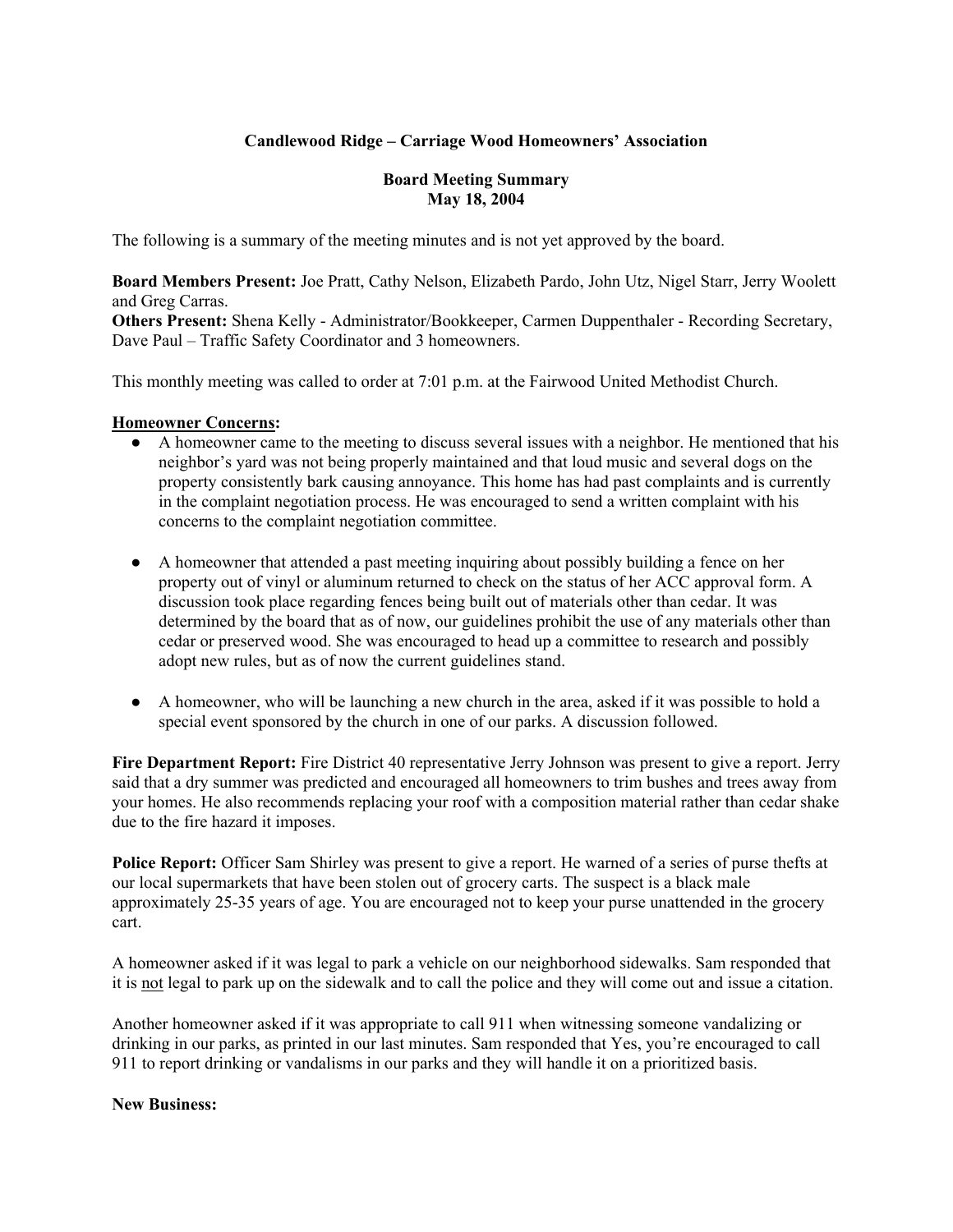## **Candlewood Ridge – Carriage Wood Homeowners' Association**

## **Board Meeting Summary May 18, 2004**

The following is a summary of the meeting minutes and is not yet approved by the board.

**Board Members Present:** Joe Pratt, Cathy Nelson, Elizabeth Pardo, John Utz, Nigel Starr, Jerry Woolett and Greg Carras.

**Others Present:** Shena Kelly - Administrator/Bookkeeper, Carmen Duppenthaler - Recording Secretary, Dave Paul – Traffic Safety Coordinator and 3 homeowners.

This monthly meeting was called to order at 7:01 p.m. at the Fairwood United Methodist Church.

#### **Homeowner Concerns:**

- A homeowner came to the meeting to discuss several issues with a neighbor. He mentioned that his neighbor's yard was not being properly maintained and that loud music and several dogs on the property consistently bark causing annoyance. This home has had past complaints and is currently in the complaint negotiation process. He was encouraged to send a written complaint with his concerns to the complaint negotiation committee.
- A homeowner that attended a past meeting inquiring about possibly building a fence on her property out of vinyl or aluminum returned to check on the status of her ACC approval form. A discussion took place regarding fences being built out of materials other than cedar. It was determined by the board that as of now, our guidelines prohibit the use of any materials other than cedar or preserved wood. She was encouraged to head up a committee to research and possibly adopt new rules, but as of now the current guidelines stand.
- A homeowner, who will be launching a new church in the area, asked if it was possible to hold a special event sponsored by the church in one of our parks. A discussion followed.

**Fire Department Report:** Fire District 40 representative Jerry Johnson was present to give a report. Jerry said that a dry summer was predicted and encouraged all homeowners to trim bushes and trees away from your homes. He also recommends replacing your roof with a composition material rather than cedar shake due to the fire hazard it imposes.

**Police Report:** Officer Sam Shirley was present to give a report. He warned of a series of purse thefts at our local supermarkets that have been stolen out of grocery carts. The suspect is a black male approximately 25-35 years of age. You are encouraged not to keep your purse unattended in the grocery cart.

A homeowner asked if it was legal to park a vehicle on our neighborhood sidewalks. Sam responded that it is not legal to park up on the sidewalk and to call the police and they will come out and issue a citation.

Another homeowner asked if it was appropriate to call 911 when witnessing someone vandalizing or drinking in our parks, as printed in our last minutes. Sam responded that Yes, you're encouraged to call 911 to report drinking or vandalisms in our parks and they will handle it on a prioritized basis.

#### **New Business:**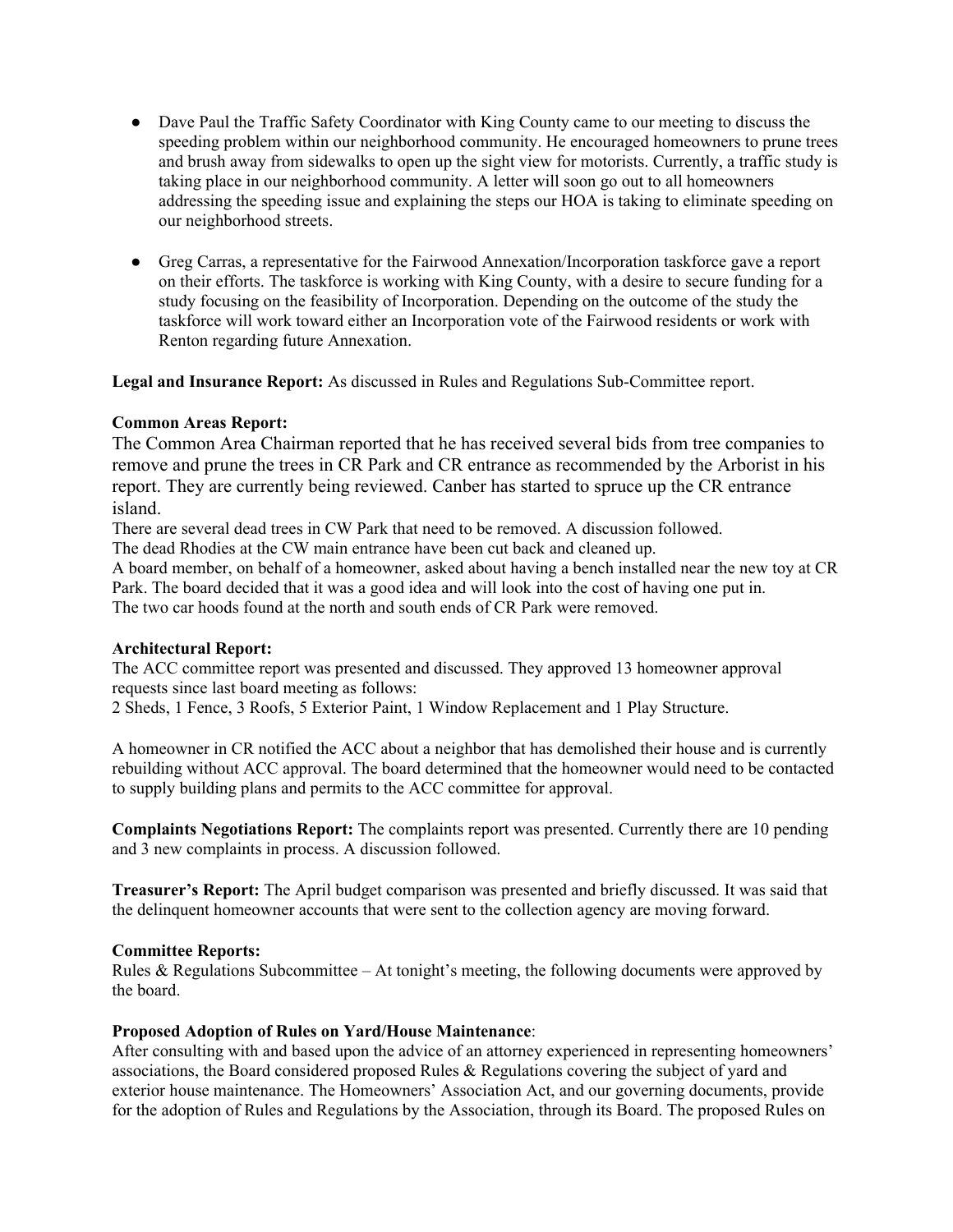- Dave Paul the Traffic Safety Coordinator with King County came to our meeting to discuss the speeding problem within our neighborhood community. He encouraged homeowners to prune trees and brush away from sidewalks to open up the sight view for motorists. Currently, a traffic study is taking place in our neighborhood community. A letter will soon go out to all homeowners addressing the speeding issue and explaining the steps our HOA is taking to eliminate speeding on our neighborhood streets.
- Greg Carras, a representative for the Fairwood Annexation/Incorporation taskforce gave a report on their efforts. The taskforce is working with King County, with a desire to secure funding for a study focusing on the feasibility of Incorporation. Depending on the outcome of the study the taskforce will work toward either an Incorporation vote of the Fairwood residents or work with Renton regarding future Annexation.

**Legal and Insurance Report:** As discussed in Rules and Regulations Sub-Committee report.

## **Common Areas Report:**

The Common Area Chairman reported that he has received several bids from tree companies to remove and prune the trees in CR Park and CR entrance as recommended by the Arborist in his report. They are currently being reviewed. Canber has started to spruce up the CR entrance island.

There are several dead trees in CW Park that need to be removed. A discussion followed.

The dead Rhodies at the CW main entrance have been cut back and cleaned up.

A board member, on behalf of a homeowner, asked about having a bench installed near the new toy at CR Park. The board decided that it was a good idea and will look into the cost of having one put in. The two car hoods found at the north and south ends of CR Park were removed.

## **Architectural Report:**

The ACC committee report was presented and discussed. They approved 13 homeowner approval requests since last board meeting as follows:

2 Sheds, 1 Fence, 3 Roofs, 5 Exterior Paint, 1 Window Replacement and 1 Play Structure.

A homeowner in CR notified the ACC about a neighbor that has demolished their house and is currently rebuilding without ACC approval. The board determined that the homeowner would need to be contacted to supply building plans and permits to the ACC committee for approval.

**Complaints Negotiations Report:** The complaints report was presented. Currently there are 10 pending and 3 new complaints in process. A discussion followed.

**Treasurer's Report:** The April budget comparison was presented and briefly discussed. It was said that the delinquent homeowner accounts that were sent to the collection agency are moving forward.

## **Committee Reports:**

Rules & Regulations Subcommittee – At tonight's meeting, the following documents were approved by the board.

## **Proposed Adoption of Rules on Yard/House Maintenance**:

After consulting with and based upon the advice of an attorney experienced in representing homeowners' associations, the Board considered proposed Rules & Regulations covering the subject of yard and exterior house maintenance. The Homeowners' Association Act, and our governing documents, provide for the adoption of Rules and Regulations by the Association, through its Board. The proposed Rules on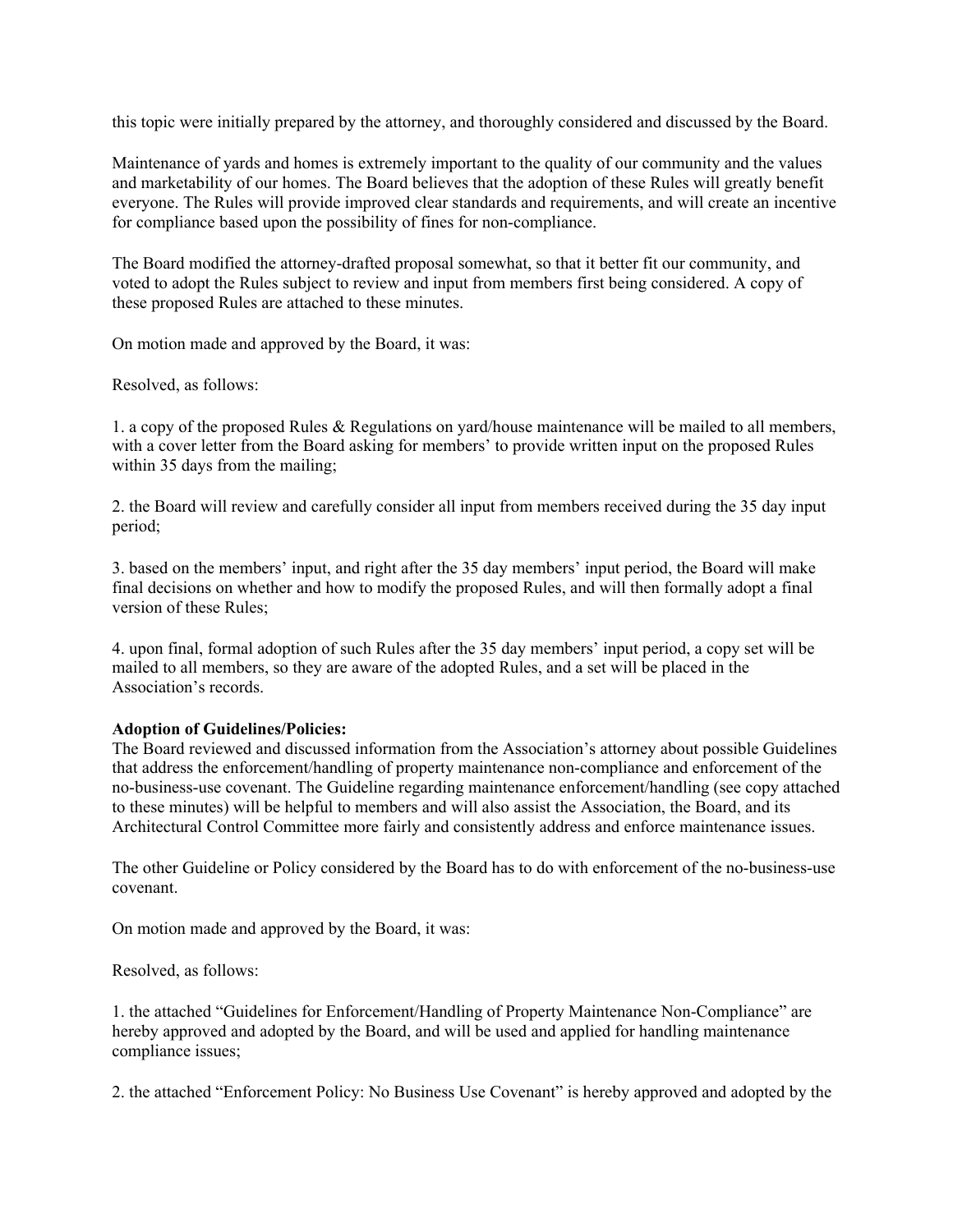this topic were initially prepared by the attorney, and thoroughly considered and discussed by the Board.

Maintenance of yards and homes is extremely important to the quality of our community and the values and marketability of our homes. The Board believes that the adoption of these Rules will greatly benefit everyone. The Rules will provide improved clear standards and requirements, and will create an incentive for compliance based upon the possibility of fines for non-compliance.

The Board modified the attorney-drafted proposal somewhat, so that it better fit our community, and voted to adopt the Rules subject to review and input from members first being considered. A copy of these proposed Rules are attached to these minutes.

On motion made and approved by the Board, it was:

Resolved, as follows:

1. a copy of the proposed Rules & Regulations on yard/house maintenance will be mailed to all members, with a cover letter from the Board asking for members' to provide written input on the proposed Rules within 35 days from the mailing;

2. the Board will review and carefully consider all input from members received during the 35 day input period;

3. based on the members' input, and right after the 35 day members' input period, the Board will make final decisions on whether and how to modify the proposed Rules, and will then formally adopt a final version of these Rules;

4. upon final, formal adoption of such Rules after the 35 day members' input period, a copy set will be mailed to all members, so they are aware of the adopted Rules, and a set will be placed in the Association's records.

## **Adoption of Guidelines/Policies:**

The Board reviewed and discussed information from the Association's attorney about possible Guidelines that address the enforcement/handling of property maintenance non-compliance and enforcement of the no-business-use covenant. The Guideline regarding maintenance enforcement/handling (see copy attached to these minutes) will be helpful to members and will also assist the Association, the Board, and its Architectural Control Committee more fairly and consistently address and enforce maintenance issues.

The other Guideline or Policy considered by the Board has to do with enforcement of the no-business-use covenant.

On motion made and approved by the Board, it was:

Resolved, as follows:

1. the attached "Guidelines for Enforcement/Handling of Property Maintenance Non-Compliance" are hereby approved and adopted by the Board, and will be used and applied for handling maintenance compliance issues;

2. the attached "Enforcement Policy: No Business Use Covenant" is hereby approved and adopted by the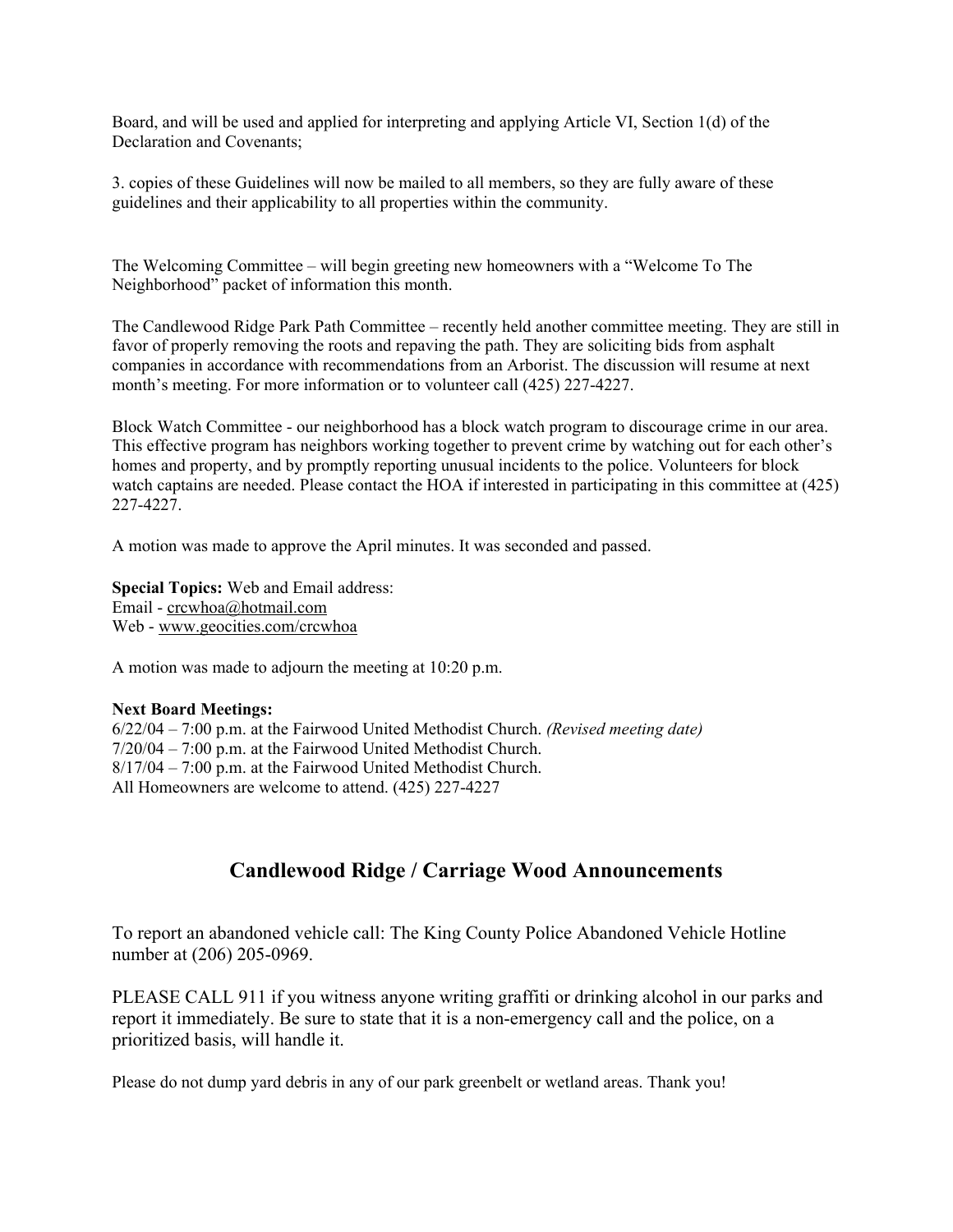Board, and will be used and applied for interpreting and applying Article VI, Section 1(d) of the Declaration and Covenants;

3. copies of these Guidelines will now be mailed to all members, so they are fully aware of these guidelines and their applicability to all properties within the community.

The Welcoming Committee – will begin greeting new homeowners with a "Welcome To The Neighborhood" packet of information this month.

The Candlewood Ridge Park Path Committee – recently held another committee meeting. They are still in favor of properly removing the roots and repaving the path. They are soliciting bids from asphalt companies in accordance with recommendations from an Arborist. The discussion will resume at next month's meeting. For more information or to volunteer call (425) 227-4227.

Block Watch Committee - our neighborhood has a block watch program to discourage crime in our area. This effective program has neighbors working together to prevent crime by watching out for each other's homes and property, and by promptly reporting unusual incidents to the police. Volunteers for block watch captains are needed. Please contact the HOA if interested in participating in this committee at (425) 227-4227.

A motion was made to approve the April minutes. It was seconded and passed.

**Special Topics:** Web and Email address: Email - crcwhoa@hotmail.com Web - www.geocities.com/crcwhoa

A motion was made to adjourn the meeting at 10:20 p.m.

#### **Next Board Meetings:**

6/22/04 – 7:00 p.m. at the Fairwood United Methodist Church. *(Revised meeting date)* 7/20/04 – 7:00 p.m. at the Fairwood United Methodist Church. 8/17/04 – 7:00 p.m. at the Fairwood United Methodist Church. All Homeowners are welcome to attend. (425) 227-4227

# **Candlewood Ridge / Carriage Wood Announcements**

To report an abandoned vehicle call: The King County Police Abandoned Vehicle Hotline number at (206) 205-0969.

PLEASE CALL 911 if you witness anyone writing graffiti or drinking alcohol in our parks and report it immediately. Be sure to state that it is a non-emergency call and the police, on a prioritized basis, will handle it.

Please do not dump yard debris in any of our park greenbelt or wetland areas. Thank you!